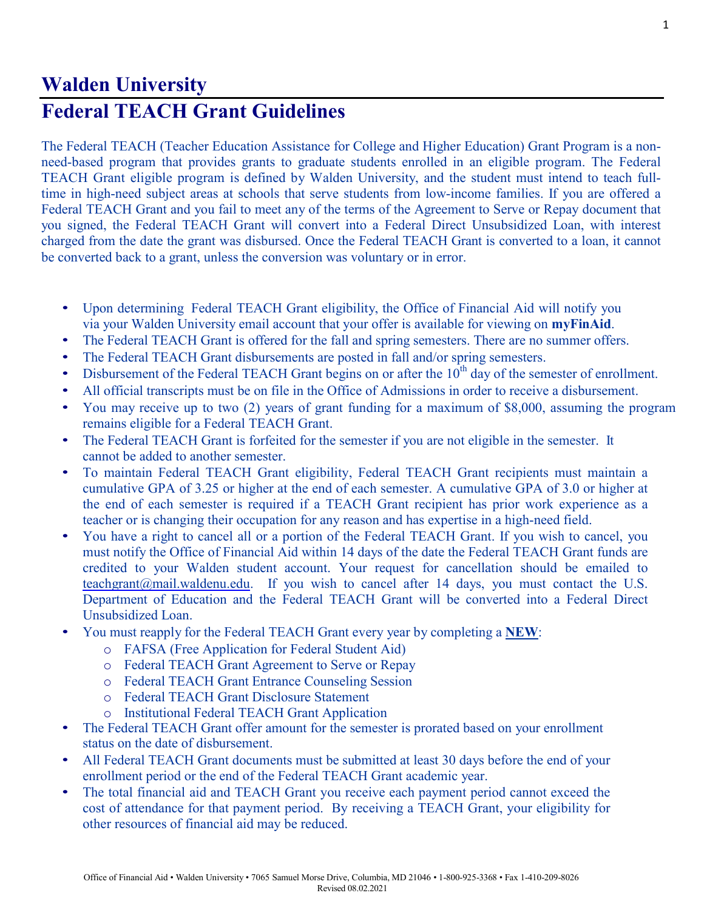## **Walden University Federal TEACH Grant Guidelines**

The Federal TEACH (Teacher Education Assistance for College and Higher Education) Grant Program is a nonneed-based program that provides grants to graduate students enrolled in an eligible program. The Federal TEACH Grant eligible program is defined by Walden University, and the student must intend to teach fulltime in high-need subject areas at schools that serve students from low-income families. If you are offered a Federal TEACH Grant and you fail to meet any of the terms of the Agreement to Serve or Repay document that you signed, the Federal TEACH Grant will convert into a Federal Direct Unsubsidized Loan, with interest charged from the date the grant was disbursed. Once the Federal TEACH Grant is converted to a loan, it cannot be converted back to a grant, unless the conversion was voluntary or in error.

- Upon determining Federal TEACH Grant eligibility, the Office of Financial Aid will notify you via your Walden University email account that your offer is available for viewing on **myFinAid**.
- The Federal TEACH Grant is offered for the fall and spring semesters. There are no summer offers.
- The Federal TEACH Grant disbursements are posted in fall and/or spring semesters.
- Disbursement of the Federal TEACH Grant begins on or after the  $10<sup>th</sup>$  day of the semester of enrollment.
- All official transcripts must be on file in the Office of Admissions in order to receive a disbursement.
- You may receive up to two (2) years of grant funding for a maximum of \$8,000, assuming the program remains eligible for a Federal TEACH Grant.
- The Federal TEACH Grant is forfeited for the semester if you are not eligible in the semester. It cannot be added to another semester.
- To maintain Federal TEACH Grant eligibility, Federal TEACH Grant recipients must maintain a cumulative GPA of 3.25 or higher at the end of each semester. A cumulative GPA of 3.0 or higher at the end of each semester is required if a TEACH Grant recipient has prior work experience as a teacher or is changing their occupation for any reason and has expertise in a high-need field.
- You have a right to cancel all or a portion of the Federal TEACH Grant. If you wish to cancel, you must notify the Office of Financial Aid within 14 days of the date the Federal TEACH Grant funds are credited to your Walden student account. Your request for cancellation should be emailed to [teachgrant@mail.waldenu.edu.](mailto:teachgrant@mail.waldenu.edu) If you wish to cancel after 14 days, you must contact the U.S. Department of Education and the Federal TEACH Grant will be converted into a Federal Direct Unsubsidized Loan.
- You must reapply for the Federal TEACH Grant every year by completing a **NEW**:
	- o FAFSA (Free Application for Federal Student Aid)
	- o Federal TEACH Grant Agreement to Serve or Repay
	- o Federal TEACH Grant Entrance Counseling Session
	- o Federal TEACH Grant Disclosure Statement
	- o Institutional Federal TEACH Grant Application
- The Federal TEACH Grant offer amount for the semester is prorated based on your enrollment status on the date of disbursement.
- All Federal TEACH Grant documents must be submitted at least 30 days before the end of your enrollment period or the end of the Federal TEACH Grant academic year.
- The total financial aid and TEACH Grant you receive each payment period cannot exceed the cost of attendance for that payment period. By receiving a TEACH Grant, your eligibility for other resources of financial aid may be reduced.